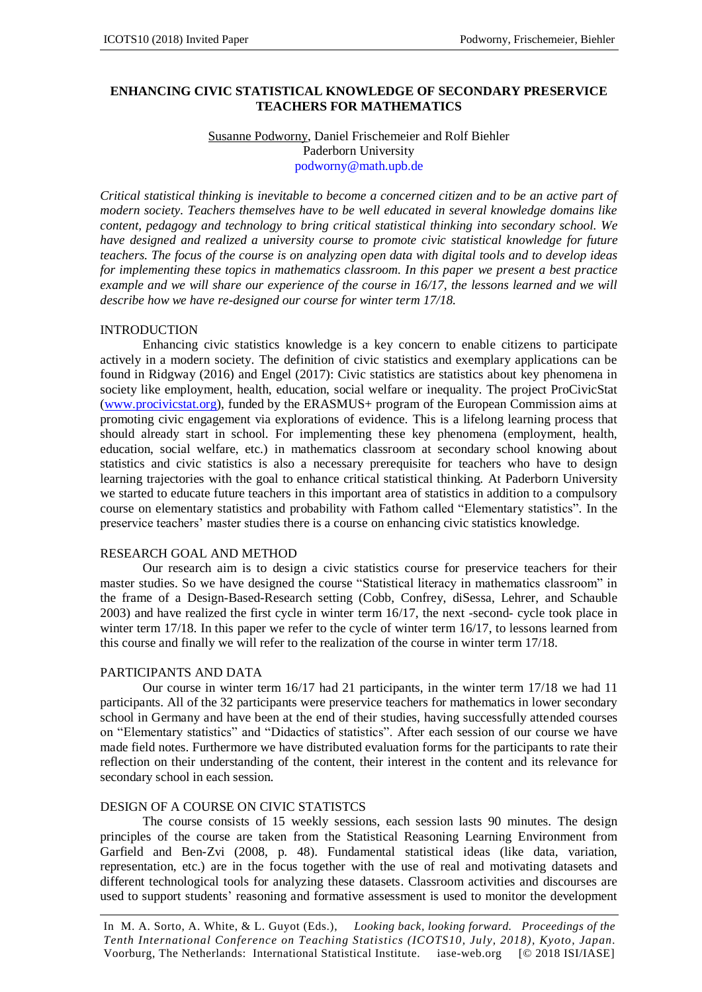### **ENHANCING CIVIC STATISTICAL KNOWLEDGE OF SECONDARY PRESERVICE TEACHERS FOR MATHEMATICS**

## Susanne Podworny, Daniel Frischemeier and Rolf Biehler Paderborn University podworny@math.upb.de

*Critical statistical thinking is inevitable to become a concerned citizen and to be an active part of modern society. Teachers themselves have to be well educated in several knowledge domains like content, pedagogy and technology to bring critical statistical thinking into secondary school. We have designed and realized a university course to promote civic statistical knowledge for future teachers. The focus of the course is on analyzing open data with digital tools and to develop ideas for implementing these topics in mathematics classroom. In this paper we present a best practice example and we will share our experience of the course in 16/17, the lessons learned and we will describe how we have re-designed our course for winter term 17/18.*

#### INTRODUCTION

Enhancing civic statistics knowledge is a key concern to enable citizens to participate actively in a modern society. The definition of civic statistics and exemplary applications can be found in Ridgway (2016) and Engel (2017): Civic statistics are statistics about key phenomena in society like employment, health, education, social welfare or inequality. The project ProCivicStat (www.procivicstat.org), funded by the ERASMUS+ program of the European Commission aims at promoting civic engagement via explorations of evidence. This is a lifelong learning process that should already start in school. For implementing these key phenomena (employment, health, education, social welfare, etc.) in mathematics classroom at secondary school knowing about statistics and civic statistics is also a necessary prerequisite for teachers who have to design learning trajectories with the goal to enhance critical statistical thinking. At Paderborn University we started to educate future teachers in this important area of statistics in addition to a compulsory course on elementary statistics and probability with Fathom called "Elementary statistics". In the preservice teachers' master studies there is a course on enhancing civic statistics knowledge.

#### RESEARCH GOAL AND METHOD

Our research aim is to design a civic statistics course for preservice teachers for their master studies. So we have designed the course "Statistical literacy in mathematics classroom" in the frame of a Design-Based-Research setting (Cobb, Confrey, diSessa, Lehrer, and Schauble 2003) and have realized the first cycle in winter term 16/17, the next -second- cycle took place in winter term 17/18. In this paper we refer to the cycle of winter term 16/17, to lessons learned from this course and finally we will refer to the realization of the course in winter term 17/18.

### PARTICIPANTS AND DATA

Our course in winter term 16/17 had 21 participants, in the winter term 17/18 we had 11 participants. All of the 32 participants were preservice teachers for mathematics in lower secondary school in Germany and have been at the end of their studies, having successfully attended courses on "Elementary statistics" and "Didactics of statistics". After each session of our course we have made field notes. Furthermore we have distributed evaluation forms for the participants to rate their reflection on their understanding of the content, their interest in the content and its relevance for secondary school in each session.

#### DESIGN OF A COURSE ON CIVIC STATISTCS

The course consists of 15 weekly sessions, each session lasts 90 minutes. The design principles of the course are taken from the Statistical Reasoning Learning Environment from Garfield and Ben-Zvi (2008, p. 48). Fundamental statistical ideas (like data, variation, representation, etc.) are in the focus together with the use of real and motivating datasets and different technological tools for analyzing these datasets. Classroom activities and discourses are used to support students' reasoning and formative assessment is used to monitor the development

In M. A. Sorto, A. White, & L. Guyot (Eds.), *Looking back, looking forward. Proceedings of the Tenth International Conference on Teaching Statistics (ICOTS10, July, 2018), Kyoto, Japan.* Voorburg, The Netherlands: International Statistical Institute. iase-web.org [© 2018 ISI/IASE]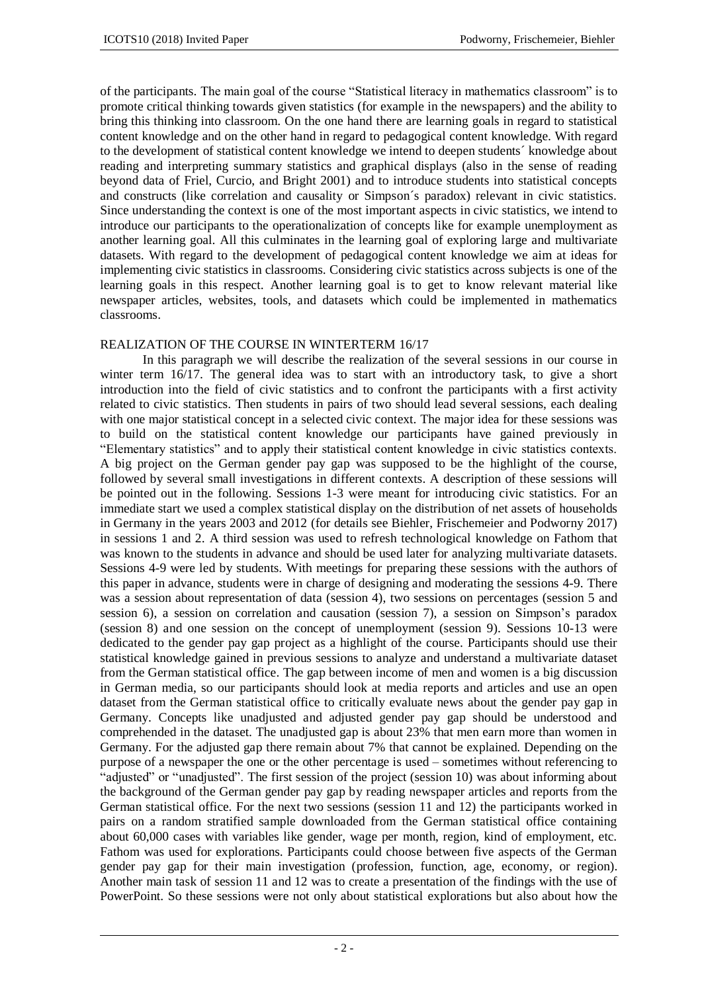of the participants. The main goal of the course "Statistical literacy in mathematics classroom" is to promote critical thinking towards given statistics (for example in the newspapers) and the ability to bring this thinking into classroom. On the one hand there are learning goals in regard to statistical content knowledge and on the other hand in regard to pedagogical content knowledge. With regard to the development of statistical content knowledge we intend to deepen students´ knowledge about reading and interpreting summary statistics and graphical displays (also in the sense of reading beyond data of Friel, Curcio, and Bright 2001) and to introduce students into statistical concepts and constructs (like correlation and causality or Simpson´s paradox) relevant in civic statistics. Since understanding the context is one of the most important aspects in civic statistics, we intend to introduce our participants to the operationalization of concepts like for example unemployment as another learning goal. All this culminates in the learning goal of exploring large and multivariate datasets. With regard to the development of pedagogical content knowledge we aim at ideas for implementing civic statistics in classrooms. Considering civic statistics across subjects is one of the learning goals in this respect. Another learning goal is to get to know relevant material like newspaper articles, websites, tools, and datasets which could be implemented in mathematics classrooms.

# REALIZATION OF THE COURSE IN WINTERTERM 16/17

In this paragraph we will describe the realization of the several sessions in our course in winter term 16/17. The general idea was to start with an introductory task, to give a short introduction into the field of civic statistics and to confront the participants with a first activity related to civic statistics. Then students in pairs of two should lead several sessions, each dealing with one major statistical concept in a selected civic context. The major idea for these sessions was to build on the statistical content knowledge our participants have gained previously in "Elementary statistics" and to apply their statistical content knowledge in civic statistics contexts. A big project on the German gender pay gap was supposed to be the highlight of the course, followed by several small investigations in different contexts. A description of these sessions will be pointed out in the following. Sessions 1-3 were meant for introducing civic statistics. For an immediate start we used a complex statistical display on the distribution of net assets of households in Germany in the years 2003 and 2012 (for details see Biehler, Frischemeier and Podworny 2017) in sessions 1 and 2. A third session was used to refresh technological knowledge on Fathom that was known to the students in advance and should be used later for analyzing multivariate datasets. Sessions 4-9 were led by students. With meetings for preparing these sessions with the authors of this paper in advance, students were in charge of designing and moderating the sessions 4-9. There was a session about representation of data (session 4), two sessions on percentages (session 5 and session 6), a session on correlation and causation (session 7), a session on Simpson's paradox (session 8) and one session on the concept of unemployment (session 9). Sessions 10-13 were dedicated to the gender pay gap project as a highlight of the course. Participants should use their statistical knowledge gained in previous sessions to analyze and understand a multivariate dataset from the German statistical office. The gap between income of men and women is a big discussion in German media, so our participants should look at media reports and articles and use an open dataset from the German statistical office to critically evaluate news about the gender pay gap in Germany. Concepts like unadjusted and adjusted gender pay gap should be understood and comprehended in the dataset. The unadjusted gap is about 23% that men earn more than women in Germany. For the adjusted gap there remain about 7% that cannot be explained. Depending on the purpose of a newspaper the one or the other percentage is used – sometimes without referencing to "adjusted" or "unadjusted". The first session of the project (session 10) was about informing about the background of the German gender pay gap by reading newspaper articles and reports from the German statistical office. For the next two sessions (session 11 and 12) the participants worked in pairs on a random stratified sample downloaded from the German statistical office containing about 60,000 cases with variables like gender, wage per month, region, kind of employment, etc. Fathom was used for explorations. Participants could choose between five aspects of the German gender pay gap for their main investigation (profession, function, age, economy, or region). Another main task of session 11 and 12 was to create a presentation of the findings with the use of PowerPoint. So these sessions were not only about statistical explorations but also about how the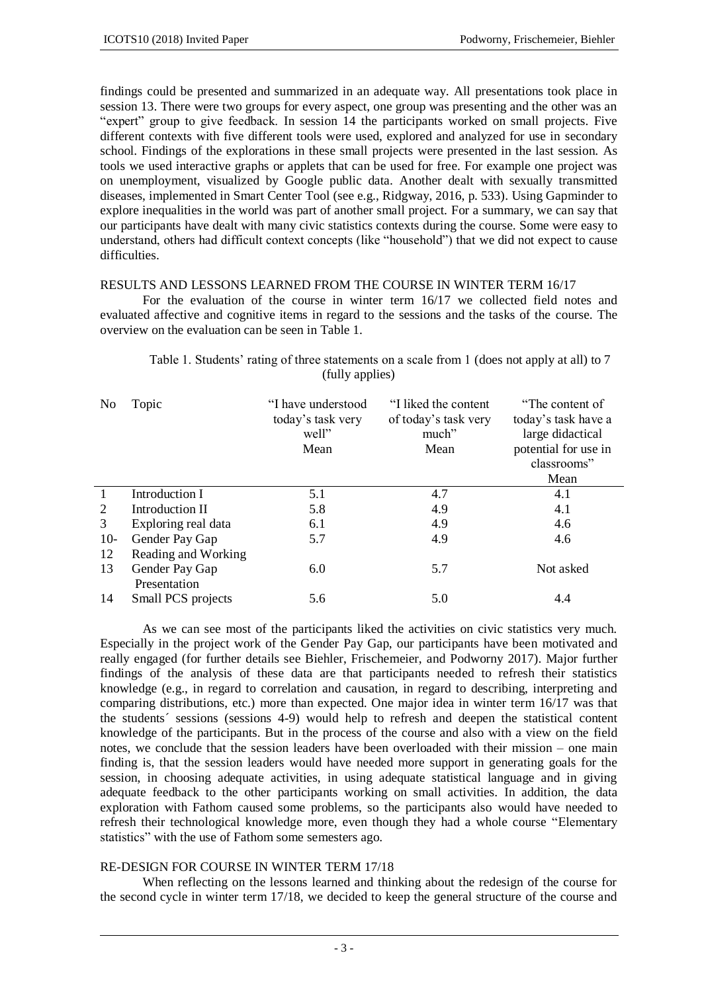findings could be presented and summarized in an adequate way. All presentations took place in session 13. There were two groups for every aspect, one group was presenting and the other was an "expert" group to give feedback. In session 14 the participants worked on small projects. Five different contexts with five different tools were used, explored and analyzed for use in secondary school. Findings of the explorations in these small projects were presented in the last session. As tools we used interactive graphs or applets that can be used for free. For example one project was on unemployment, visualized by Google public data. Another dealt with sexually transmitted diseases, implemented in Smart Center Tool (see e.g., Ridgway, 2016, p. 533). Using Gapminder to explore inequalities in the world was part of another small project. For a summary, we can say that our participants have dealt with many civic statistics contexts during the course. Some were easy to understand, others had difficult context concepts (like "household") that we did not expect to cause difficulties.

### RESULTS AND LESSONS LEARNED FROM THE COURSE IN WINTER TERM 16/17

For the evaluation of the course in winter term 16/17 we collected field notes and evaluated affective and cognitive items in regard to the sessions and the tasks of the course. The overview on the evaluation can be seen in Table 1.

| N <sub>0</sub> | Topic                              | "I have understood<br>today's task very<br>well"<br>Mean | "I liked the content"<br>of today's task very<br>much"<br>Mean | "The content of<br>today's task have a<br>large didactical<br>potential for use in<br>classrooms"<br>Mean |
|----------------|------------------------------------|----------------------------------------------------------|----------------------------------------------------------------|-----------------------------------------------------------------------------------------------------------|
| $\mathbf{1}$   | Introduction I                     | 5.1                                                      | 4.7                                                            | 4.1                                                                                                       |
| 2              | Introduction II                    | 5.8                                                      | 4.9                                                            | 4.1                                                                                                       |
| 3              | Exploring real data                | 6.1                                                      | 4.9                                                            | 4.6                                                                                                       |
| $10-$          | Gender Pay Gap                     | 5.7                                                      | 4.9                                                            | 4.6                                                                                                       |
| 12             | Reading and Working                |                                                          |                                                                |                                                                                                           |
| 13             | Gender Pay Gap                     | 6.0                                                      | 5.7                                                            | Not asked                                                                                                 |
| 14             | Presentation<br>Small PCS projects | 5.6                                                      | 5.0                                                            | 4.4                                                                                                       |

Table 1. Students' rating of three statements on a scale from 1 (does not apply at all) to 7 (fully applies)

As we can see most of the participants liked the activities on civic statistics very much. Especially in the project work of the Gender Pay Gap, our participants have been motivated and really engaged (for further details see Biehler, Frischemeier, and Podworny 2017). Major further findings of the analysis of these data are that participants needed to refresh their statistics knowledge (e.g., in regard to correlation and causation, in regard to describing, interpreting and comparing distributions, etc.) more than expected. One major idea in winter term 16/17 was that the students´ sessions (sessions 4-9) would help to refresh and deepen the statistical content knowledge of the participants. But in the process of the course and also with a view on the field notes, we conclude that the session leaders have been overloaded with their mission – one main finding is, that the session leaders would have needed more support in generating goals for the session, in choosing adequate activities, in using adequate statistical language and in giving adequate feedback to the other participants working on small activities. In addition, the data exploration with Fathom caused some problems, so the participants also would have needed to refresh their technological knowledge more, even though they had a whole course "Elementary statistics" with the use of Fathom some semesters ago.

### RE-DESIGN FOR COURSE IN WINTER TERM 17/18

When reflecting on the lessons learned and thinking about the redesign of the course for the second cycle in winter term 17/18, we decided to keep the general structure of the course and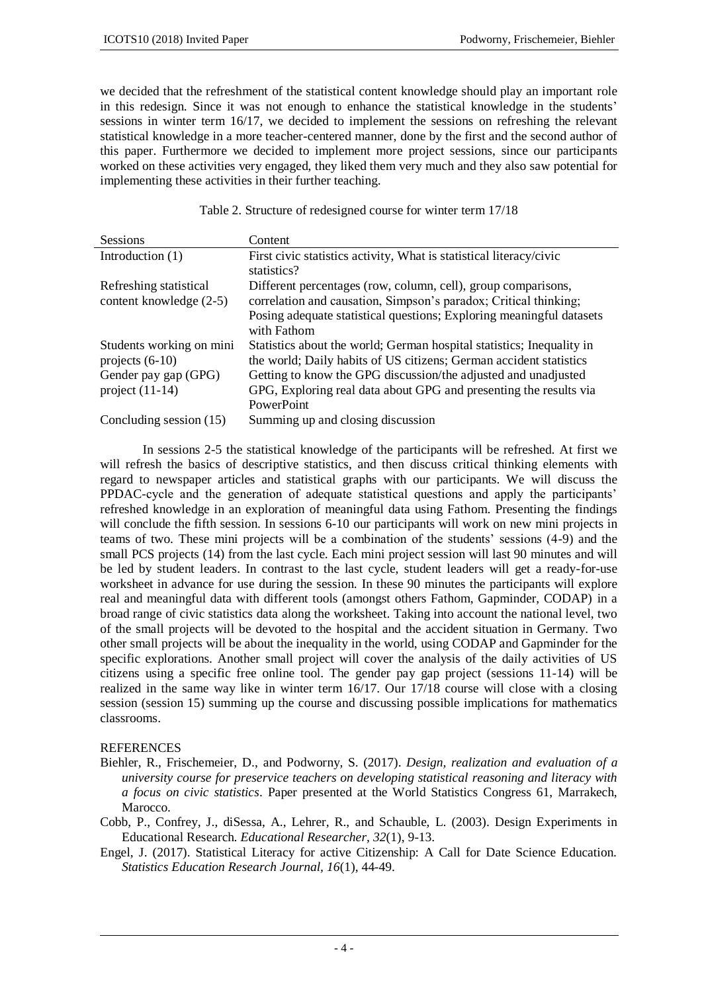we decided that the refreshment of the statistical content knowledge should play an important role in this redesign. Since it was not enough to enhance the statistical knowledge in the students' sessions in winter term 16/17, we decided to implement the sessions on refreshing the relevant statistical knowledge in a more teacher-centered manner, done by the first and the second author of this paper. Furthermore we decided to implement more project sessions, since our participants worked on these activities very engaged, they liked them very much and they also saw potential for implementing these activities in their further teaching.

|  | Table 2. Structure of redesigned course for winter term 17/18 |  |  |  |  |  |
|--|---------------------------------------------------------------|--|--|--|--|--|
|  |                                                               |  |  |  |  |  |

| <b>Sessions</b>                                                                            | Content                                                                                                                                                                                                                                                                            |
|--------------------------------------------------------------------------------------------|------------------------------------------------------------------------------------------------------------------------------------------------------------------------------------------------------------------------------------------------------------------------------------|
| Introduction $(1)$                                                                         | First civic statistics activity, What is statistical literacy/civic<br>statistics?                                                                                                                                                                                                 |
| Refreshing statistical<br>content knowledge (2-5)                                          | Different percentages (row, column, cell), group comparisons,<br>correlation and causation, Simpson's paradox; Critical thinking;<br>Posing adequate statistical questions; Exploring meaningful datasets<br>with Fathom                                                           |
| Students working on mini<br>projects $(6-10)$<br>Gender pay gap (GPG)<br>project $(11-14)$ | Statistics about the world; German hospital statistics; Inequality in<br>the world; Daily habits of US citizens; German accident statistics<br>Getting to know the GPG discussion/the adjusted and unadjusted<br>GPG, Exploring real data about GPG and presenting the results via |
| Concluding session (15)                                                                    | PowerPoint<br>Summing up and closing discussion                                                                                                                                                                                                                                    |

In sessions 2-5 the statistical knowledge of the participants will be refreshed. At first we will refresh the basics of descriptive statistics, and then discuss critical thinking elements with regard to newspaper articles and statistical graphs with our participants. We will discuss the PPDAC-cycle and the generation of adequate statistical questions and apply the participants' refreshed knowledge in an exploration of meaningful data using Fathom. Presenting the findings will conclude the fifth session. In sessions 6-10 our participants will work on new mini projects in teams of two. These mini projects will be a combination of the students' sessions (4-9) and the small PCS projects (14) from the last cycle. Each mini project session will last 90 minutes and will be led by student leaders. In contrast to the last cycle, student leaders will get a ready-for-use worksheet in advance for use during the session. In these 90 minutes the participants will explore real and meaningful data with different tools (amongst others Fathom, Gapminder, CODAP) in a broad range of civic statistics data along the worksheet. Taking into account the national level, two of the small projects will be devoted to the hospital and the accident situation in Germany. Two other small projects will be about the inequality in the world, using CODAP and Gapminder for the specific explorations. Another small project will cover the analysis of the daily activities of US citizens using a specific free online tool. The gender pay gap project (sessions 11-14) will be realized in the same way like in winter term 16/17. Our 17/18 course will close with a closing session (session 15) summing up the course and discussing possible implications for mathematics classrooms.

# **REFERENCES**

- Biehler, R., Frischemeier, D., and Podworny, S. (2017). *Design, realization and evaluation of a university course for preservice teachers on developing statistical reasoning and literacy with a focus on civic statistics*. Paper presented at the World Statistics Congress 61, Marrakech, **Marocco**
- Cobb, P., Confrey, J., diSessa, A., Lehrer, R., and Schauble, L. (2003). Design Experiments in Educational Research. *Educational Researcher, 32*(1), 9-13.
- Engel, J. (2017). Statistical Literacy for active Citizenship: A Call for Date Science Education. *Statistics Education Research Journal, 16*(1), 44-49.